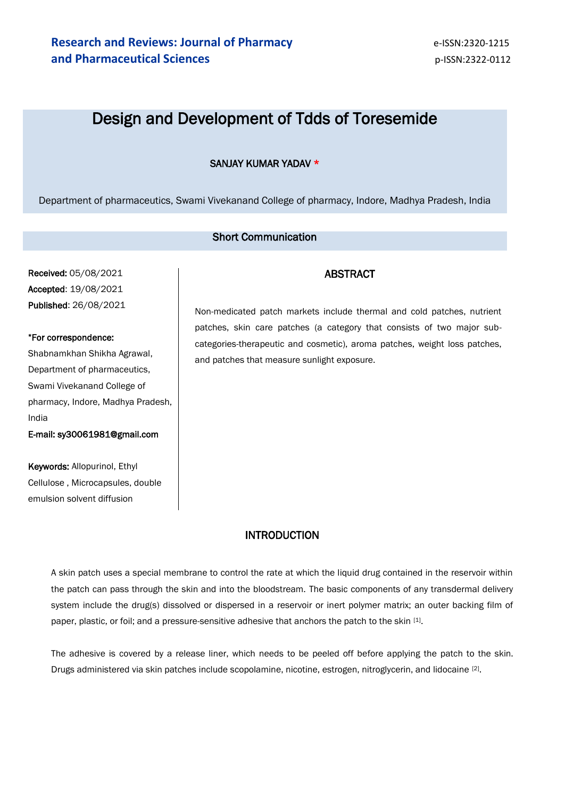# Design and Development of Tdds of Toresemide

### SANJAY KUMAR YADAV \*

Department of pharmaceutics, Swami Vivekanand College of pharmacy, Indore, Madhya Pradesh, India

### Short Communication

Received: 05/08/2021 Accepted: 19/08/2021 Published: 26/08/2021

#### \*For correspondence:

Shabnamkhan Shikha Agrawal, Department of pharmaceutics, Swami Vivekanand College of pharmacy, Indore, Madhya Pradesh, India

E-mail: sy30061981@gmail.com

Keywords: Allopurinol, Ethyl Cellulose , Microcapsules, double emulsion solvent diffusion

### ABSTRACT

Non-medicated patch markets include thermal and cold patches, nutrient patches, skin care patches (a category that consists of two major subcategories-therapeutic and cosmetic), aroma patches, weight loss patches, and patches that measure sunlight exposure.

### INTRODUCTION

A skin patch uses a special membrane to control the rate at which the liquid drug contained in the reservoir within the patch can pass through the skin and into the bloodstream. The basic components of any transdermal delivery system include the drug(s) dissolved or dispersed in a reservoir or inert polymer matrix; an outer backing film of paper, plastic, or foil; and a pressure-sensitive adhesive that anchors the patch to the skin [1].

The adhesive is covered by a release liner, which needs to be peeled off before applying the patch to the skin. Drugs administered via skin patches include scopolamine, nicotine, estrogen, nitroglycerin, and lidocaine [2].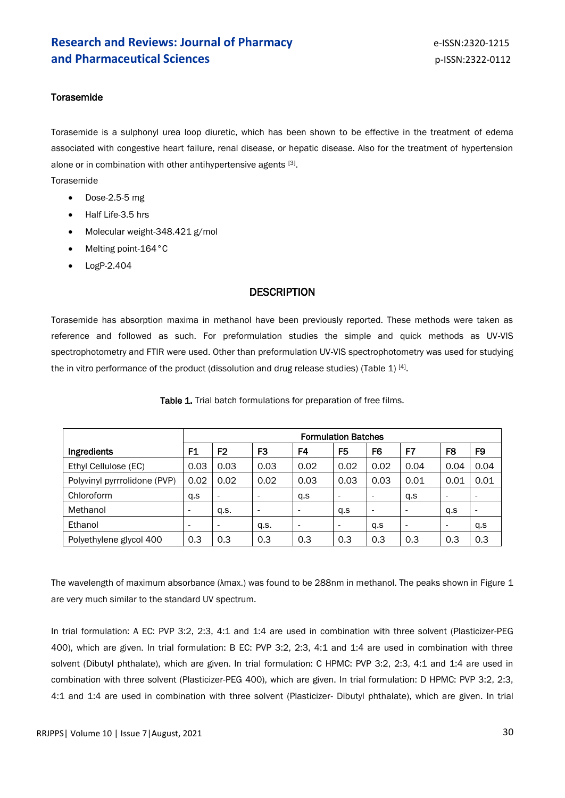### **Research and Reviews: Journal of Pharmacy Example 2018 e-ISSN:2320-1215 and Pharmaceutical Sciences p-ISSN:2322-0112**

### **Torasemide**

Torasemide is a sulphonyl urea loop diuretic, which has been shown to be effective in the treatment of edema associated with congestive heart failure, renal disease, or hepatic disease. Also for the treatment of hypertension alone or in combination with other antihypertensive agents [3].

Torasemide

- $\bullet$  Dose-2.5-5 mg
- Half Life-3.5 hrs
- Molecular weight-348.421 g/mol
- Melting point-164°C
- $\bullet$  LogP-2.404

### **DESCRIPTION**

Torasemide has absorption maxima in methanol have been previously reported. These methods were taken as reference and followed as such. For preformulation studies the simple and quick methods as UV-VIS spectrophotometry and FTIR were used. Other than preformulation UV-VIS spectrophotometry was used for studying the in vitro performance of the product (dissolution and drug release studies) (Table 1)  $^{[4]}$ .

|                              | <b>Formulation Batches</b> |                          |                          |                          |                          |                |                          |                          |                          |
|------------------------------|----------------------------|--------------------------|--------------------------|--------------------------|--------------------------|----------------|--------------------------|--------------------------|--------------------------|
| Ingredients                  | F1                         | F <sub>2</sub>           | F3                       | F4                       | F <sub>5</sub>           | F <sub>6</sub> | F7                       | F8                       | F9                       |
| Ethyl Cellulose (EC)         | 0.03                       | 0.03                     | 0.03                     | 0.02                     | 0.02                     | 0.02           | 0.04                     | 0.04                     | 0.04                     |
| Polyvinyl pyrrrolidone (PVP) | 0.02                       | 0.02                     | 0.02                     | 0.03                     | 0.03                     | 0.03           | 0.01                     | 0.01                     | 0.01                     |
| Chloroform                   | q.s                        | $\overline{\phantom{a}}$ | $\overline{\phantom{a}}$ | q.s                      |                          |                | q.s                      | $\overline{\phantom{a}}$ | $\overline{\phantom{a}}$ |
| Methanol                     | $\overline{\phantom{0}}$   | q.s.                     | $\overline{\phantom{a}}$ | $\overline{\phantom{a}}$ | q.s                      |                | $\overline{\phantom{a}}$ | q.s                      | $\overline{\phantom{a}}$ |
| Ethanol                      | -                          | $\overline{\phantom{0}}$ | q.s.                     | $\overline{\phantom{a}}$ | $\overline{\phantom{0}}$ | q.s            | $\overline{\phantom{a}}$ | $\overline{\phantom{a}}$ | q.s                      |
| Polyethylene glycol 400      | 0.3                        | 0.3                      | 0.3                      | 0.3                      | 0.3                      | 0.3            | 0.3                      | 0.3                      | 0.3                      |

Table 1. Trial batch formulations for preparation of free films.

The wavelength of maximum absorbance (λmax.) was found to be 288nm in methanol. The peaks shown in Figure 1 are very much similar to the standard UV spectrum.

In trial formulation: A EC: PVP 3:2, 2:3, 4:1 and 1:4 are used in combination with three solvent (Plasticizer-PEG 400), which are given. In trial formulation: B EC: PVP 3:2, 2:3, 4:1 and 1:4 are used in combination with three solvent (Dibutyl phthalate), which are given. In trial formulation: C HPMC: PVP 3:2, 2:3, 4:1 and 1:4 are used in combination with three solvent (Plasticizer-PEG 400), which are given. In trial formulation: D HPMC: PVP 3:2, 2:3, 4:1 and 1:4 are used in combination with three solvent (Plasticizer- Dibutyl phthalate), which are given. In trial